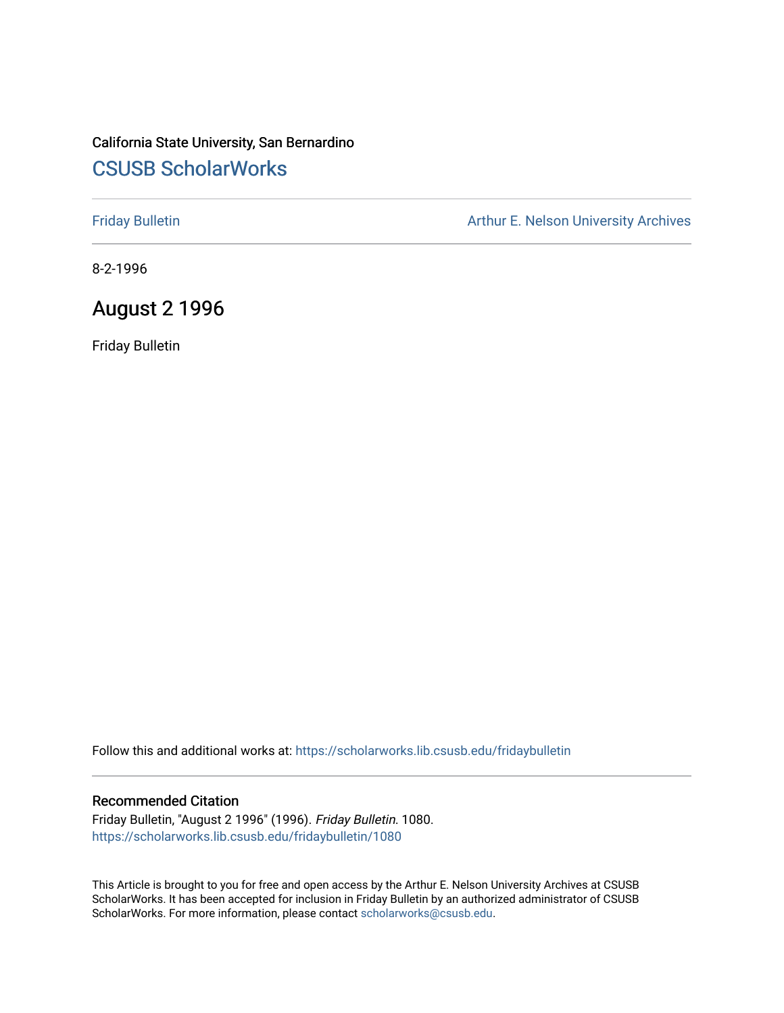## California State University, San Bernardino [CSUSB ScholarWorks](https://scholarworks.lib.csusb.edu/)

[Friday Bulletin](https://scholarworks.lib.csusb.edu/fridaybulletin) **Arthur E. Nelson University Archives** Arthur E. Nelson University Archives

8-2-1996

## August 2 1996

Friday Bulletin

Follow this and additional works at: [https://scholarworks.lib.csusb.edu/fridaybulletin](https://scholarworks.lib.csusb.edu/fridaybulletin?utm_source=scholarworks.lib.csusb.edu%2Ffridaybulletin%2F1080&utm_medium=PDF&utm_campaign=PDFCoverPages)

#### Recommended Citation

Friday Bulletin, "August 2 1996" (1996). Friday Bulletin. 1080. [https://scholarworks.lib.csusb.edu/fridaybulletin/1080](https://scholarworks.lib.csusb.edu/fridaybulletin/1080?utm_source=scholarworks.lib.csusb.edu%2Ffridaybulletin%2F1080&utm_medium=PDF&utm_campaign=PDFCoverPages) 

This Article is brought to you for free and open access by the Arthur E. Nelson University Archives at CSUSB ScholarWorks. It has been accepted for inclusion in Friday Bulletin by an authorized administrator of CSUSB ScholarWorks. For more information, please contact [scholarworks@csusb.edu.](mailto:scholarworks@csusb.edu)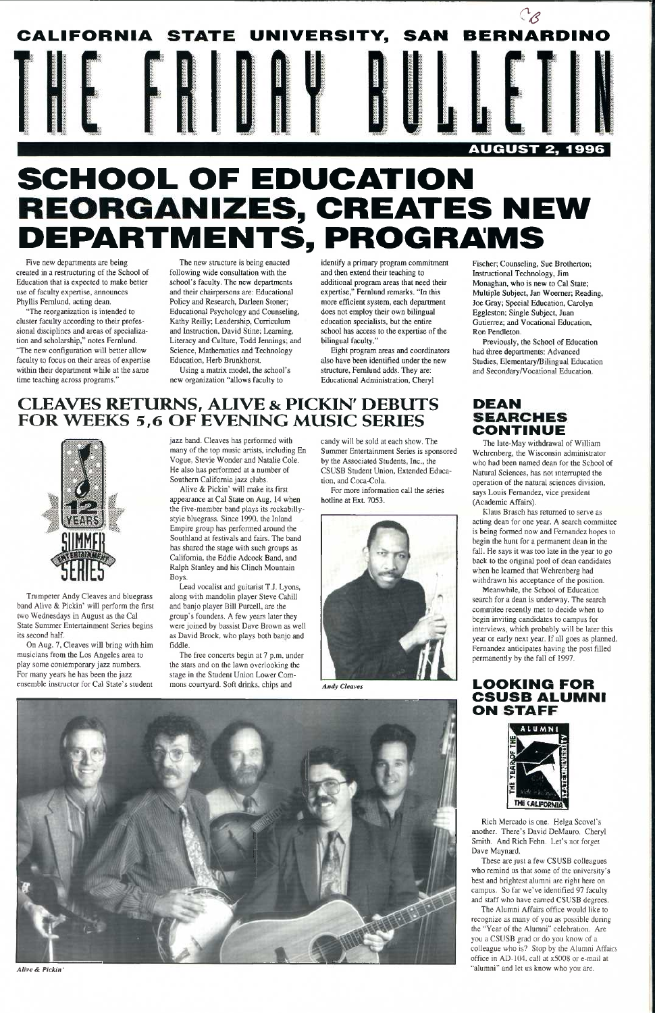

# **SCHOOL OF EDUCATION REORGANIZES, CREATES NEW DEPARTMENTS, PROGRAMS**

Five new departments are being created in a restructuring of the School of Education that is expected to make better use of faculty expertise, announces Phyllis Femlund, acting dean.

"The reorganization is intended to cluster faculty according to their professional disciplines and areas of specialization and scholarship," notes Fernlund. "The new configuration will better allow faculty to focus on their areas of expertise within their department while at the same time teaching across programs."

identify a primary program commitment and then extend their teaching to additional program areas that need their expertise," Fernlund remarks. "In this more efficient system, each department does not employ their own bilingual education specialists, but the entire school has access to the expertise of the bilingual faculty."

The new structure is being enacted following wide consultation with the school's faculty. The new departments and their chairpersons are: Educational Policy and Research, Darleen Stoner; Educational Psychology and Counseling, Kathy Reilly; Leadership, Curriculum and Instruction, David Stine; Learning, Literacy and Culture, Todd Jennings; and Science, Mathematics and Technology Education, Herb Brunkhorst.

Using a matrix model, the school's new organization "allows faculty to

Eight program areas and coordinators also have been identified under the new structure, Femlund adds. They are: Educational Administration, Cheryl

# **CLEAVES RETURNS, ALIVE & PICKIN' DEBUTS FOR WEEKS 5,6 OF EVENING MUSIC SERIES**



Trumpeter Andy Cleaves and bluegrass band Alive & Pickin' will perform the first two Wednesdays in August as the Cal State Summer Entertainment Series begins its second half.

Previously, the School of Education had three departments: Advanced Studies, Elementary/Bilingual Education and Secondary/Vocational Education.

On Aug. 7, Cleaves will bring with him musicians from the Los Angeles area to play some contemporary jazz numbers. For many years he has been the jazz ensemble instructor for Cal State's student

jazz band. Cleaves has performed with many of the top music artists, including En Vogue, Stevie Wonder and Natalie Cole. He also has performed at a number of Southern Califomia jazz clubs.

#### **LOOKING FOR CSUSB ALUMNI ON STAFF**



Rich Mercado is one. Helga Scovel's another. There's David DeMauro. Cheryl Smith. And Rich Fehn. Let's not forget Dave Maynard.

Alive & Pickin' will make its first appearance at Cal State on Aug. 14 when the five-member band plays its rockabillystyle bluegrass. Since 1990, the Inland Empire group has performed around the Southland at festivals and fairs. The band has shared the stage with such groups as California, the Eddie Adcock Band, and Ralph Stanley and his Clinch Mountain Boys.

> The Alumni Affairs office would like to recognize as many of you as possible during the "Year of the Alumni" celebration. Are you a CSUSB grad or do you know of a colleague who is? Stop by the Alumni Affairs office in AD-1()4. call at x5()08 or e-mail at "alumni" and let us know who you are.

Lead vocalist and guitarist T.J. Lyons, along with mandolin player Steve Cahill and banjo player Bill Purcell, are the group's founders. A few years later they were joined by bassist Dave Brown as well as David Brock, who plays both banio and fiddle.

The free concerts begin at 7 p.m. under the stars and on the lawn overlooking the stage in the Student Union Lower Commons courtyard. Soft drinks, chips and

candy will be sold at each show. The Summer Entertainment Series is sponsored by the Associated Students, Inc., the CSUSB Student Union, Extended Education, and Coca-Cola.

For more information call the series hotline at Ext. 7053.





Fischer; Counseling, Sue Brotherton; Instructional Technology, Jim Monaghan, who is new to Cal State; Multiple Subject, Jan Woerner; Reading, Joe Gray; Special Education, Carolyn Eggleston; Single Subject, Juan Gutierrez; and Vocational Education, Ron Pendleton.

# **DEAN CONTINUE**

The late-May withdrawal of William Wehrenberg, the Wisconsin administrator who had been named dean for the School of Natural Sciences, has not interrupted the operation of the natural sciences division, says Louis Fernandez, vice president (Academic Affairs).

Klaus Brasch has returned to serve as acting dean for one year. A search committee is being formed now and Fernandez hopes to begin the hunt for a permanent dean in the fall. He says it was too late in the year to go back to the original pool of dean candidates when he learned that Wehrenberg had withdrawn his acceptance of the position.

Meanwhile, the School of Education search for a dean is underway. The search commitee recently met to decide when to begin inviting candidates to campus for interviews, which probably will be later this year or early next year. If all goes as planned, Fernandez anticipates having the post filled permanently by the fall of 1997.



*Alive & Pickin'* 

These are just a few CSUSB colleagues who remind us that some of the university's best and brightest alumni are right here on campus. So far we've identified 97 faculty and staff who have earned CSUSB degrees.